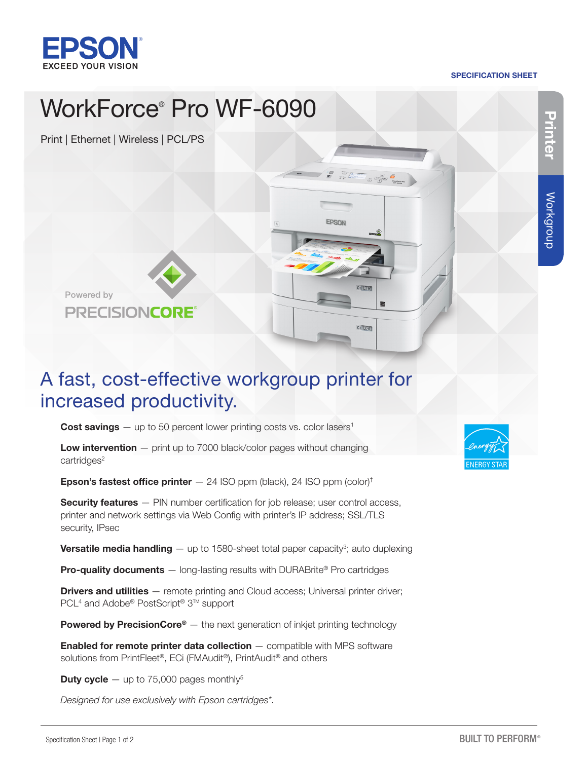

#### SPECIFICATION SHEET

Printer

Workgroup

Workgroup

## WorkForce® Pro WF-6090 Print | Ethernet | Wireless | PCL/PS  $\begin{picture}(120,111){\line(1,0){155}} \put(120,111){\line(1,0){155}} \put(120,111){\line(1,0){155}} \put(120,111){\line(1,0){155}} \put(120,111){\line(1,0){155}} \put(120,111){\line(1,0){155}} \put(120,111){\line(1,0){155}} \put(120,111){\line(1,0){155}} \put(120,111){\line(1,0){155}} \put(120,111){\line(1,0){15$ **EPSON C1LTR** Powered by PRECISIONCORE  $C1$ <sub>LGL</sub>

### A fast, cost-effective workgroup printer for increased productivity.

**Cost savings**  $-$  up to 50 percent lower printing costs vs. color lasers<sup>1</sup>

**Low intervention**  $-$  print up to 7000 black/color pages without changing cartridges<sup>2</sup>

**Epson's fastest office printer**  $-$  24 ISO ppm (black), 24 ISO ppm (color)<sup>†</sup>

**Security features** — PIN number certification for job release; user control access, printer and network settings via Web Config with printer's IP address; SSL/TLS security, IPsec

**Versatile media handling**  $-$  up to 1580-sheet total paper capacity<sup>3</sup>; auto duplexing

Pro-quality documents - long-lasting results with DURABrite® Pro cartridges

**Drivers and utilities** — remote printing and Cloud access; Universal printer driver; PCL<sup>4</sup> and Adobe® PostScript<sup>®</sup> 3™ support

**Powered by PrecisionCore<sup>®</sup>** — the next generation of inkjet printing technology

**Enabled for remote printer data collection**  $-$  compatible with MPS software solutions from PrintFleet®, ECi (FMAudit®), PrintAudit® and others

**Duty cycle**  $-$  up to 75,000 pages monthly<sup>5</sup>

*Designed for use exclusively with Epson cartridges\*.*